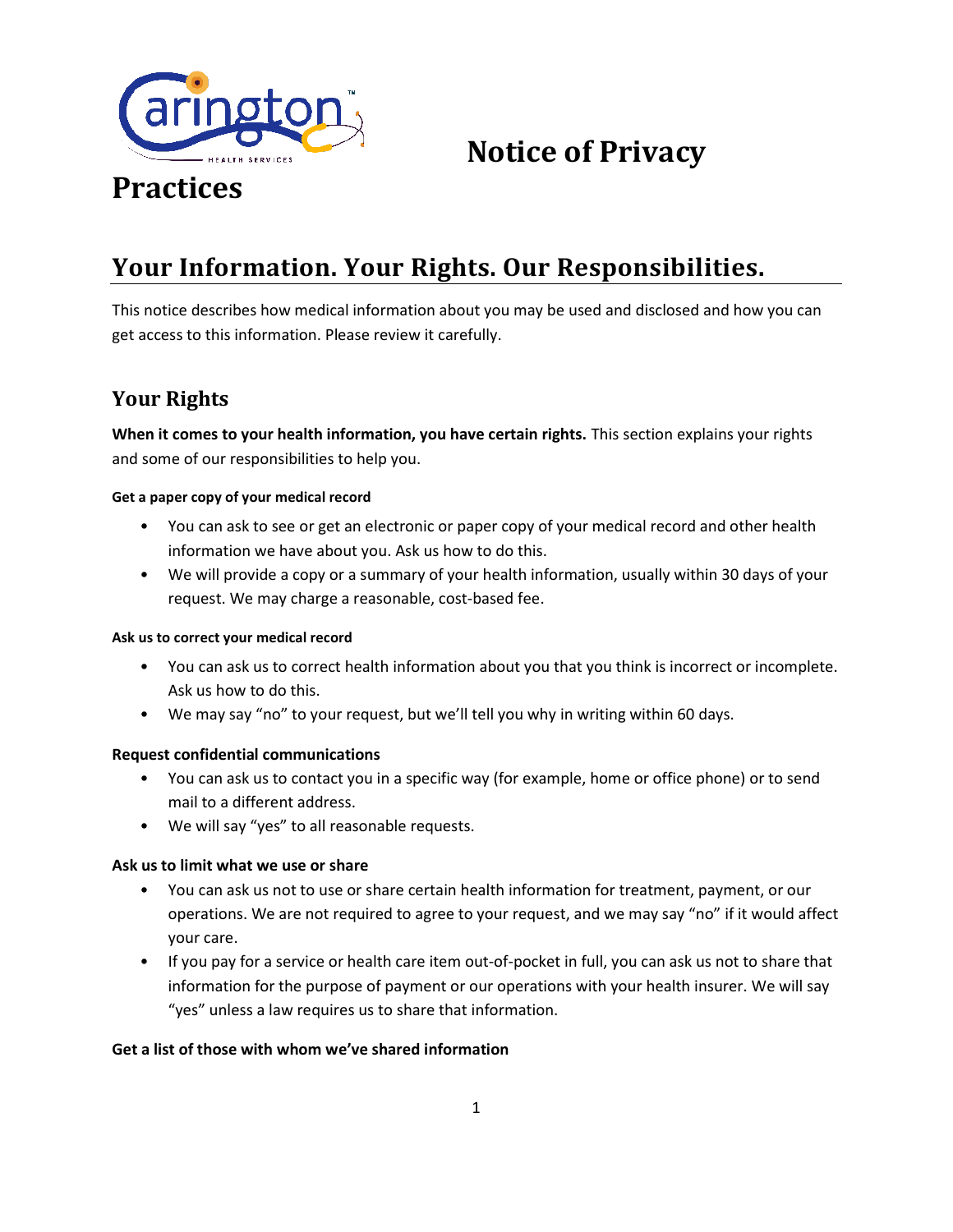

# Notice of Privacy

# **Practices**

## Your Information. Your Rights. Our Responsibilities.

This notice describes how medical information about you may be used and disclosed and how you can get access to this information. Please review it carefully.

## Your Rights

When it comes to your health information, you have certain rights. This section explains your rights and some of our responsibilities to help you.

#### Get a paper copy of your medical record

- You can ask to see or get an electronic or paper copy of your medical record and other health information we have about you. Ask us how to do this.
- We will provide a copy or a summary of your health information, usually within 30 days of your request. We may charge a reasonable, cost-based fee.

#### Ask us to correct your medical record

- You can ask us to correct health information about you that you think is incorrect or incomplete. Ask us how to do this.
- We may say "no" to your request, but we'll tell you why in writing within 60 days.

#### Request confidential communications

- You can ask us to contact you in a specific way (for example, home or office phone) or to send mail to a different address.
- We will say "yes" to all reasonable requests.

#### Ask us to limit what we use or share

- You can ask us not to use or share certain health information for treatment, payment, or our operations. We are not required to agree to your request, and we may say "no" if it would affect your care.
- If you pay for a service or health care item out-of-pocket in full, you can ask us not to share that information for the purpose of payment or our operations with your health insurer. We will say "yes" unless a law requires us to share that information.

#### Get a list of those with whom we've shared information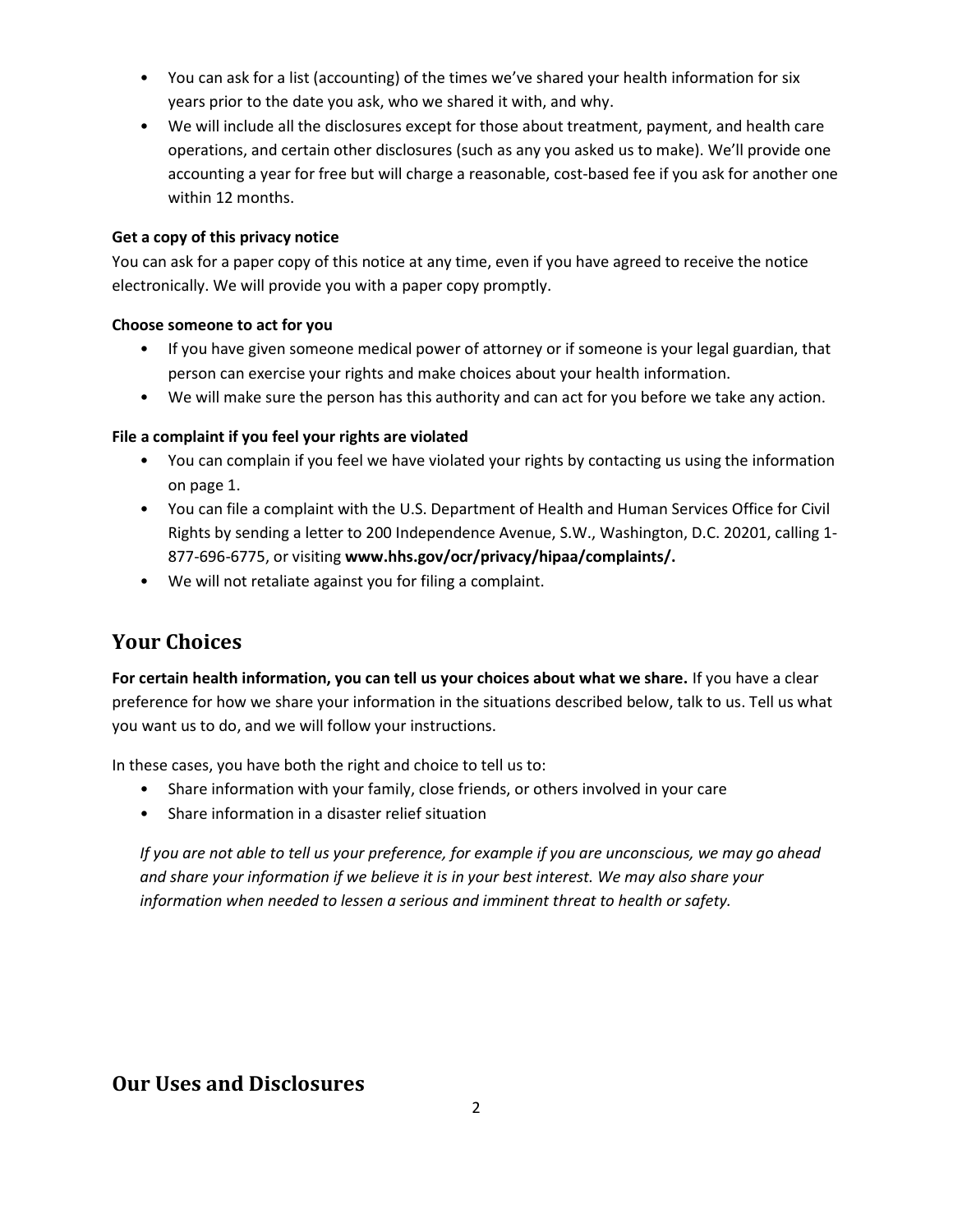- You can ask for a list (accounting) of the times we've shared your health information for six years prior to the date you ask, who we shared it with, and why.
- We will include all the disclosures except for those about treatment, payment, and health care operations, and certain other disclosures (such as any you asked us to make). We'll provide one accounting a year for free but will charge a reasonable, cost-based fee if you ask for another one within 12 months.

#### Get a copy of this privacy notice

You can ask for a paper copy of this notice at any time, even if you have agreed to receive the notice electronically. We will provide you with a paper copy promptly.

#### Choose someone to act for you

- If you have given someone medical power of attorney or if someone is your legal guardian, that person can exercise your rights and make choices about your health information.
- We will make sure the person has this authority and can act for you before we take any action.

#### File a complaint if you feel your rights are violated

- You can complain if you feel we have violated your rights by contacting us using the information on page 1.
- You can file a complaint with the U.S. Department of Health and Human Services Office for Civil Rights by sending a letter to 200 Independence Avenue, S.W., Washington, D.C. 20201, calling 1- 877-696-6775, or visiting www.hhs.gov/ocr/privacy/hipaa/complaints/.
- We will not retaliate against you for filing a complaint.

## Your Choices

For certain health information, you can tell us your choices about what we share. If you have a clear preference for how we share your information in the situations described below, talk to us. Tell us what you want us to do, and we will follow your instructions.

In these cases, you have both the right and choice to tell us to:

- Share information with your family, close friends, or others involved in your care
- Share information in a disaster relief situation

If you are not able to tell us your preference, for example if you are unconscious, we may go ahead and share your information if we believe it is in your best interest. We may also share your information when needed to lessen a serious and imminent threat to health or safety.

## Our Uses and Disclosures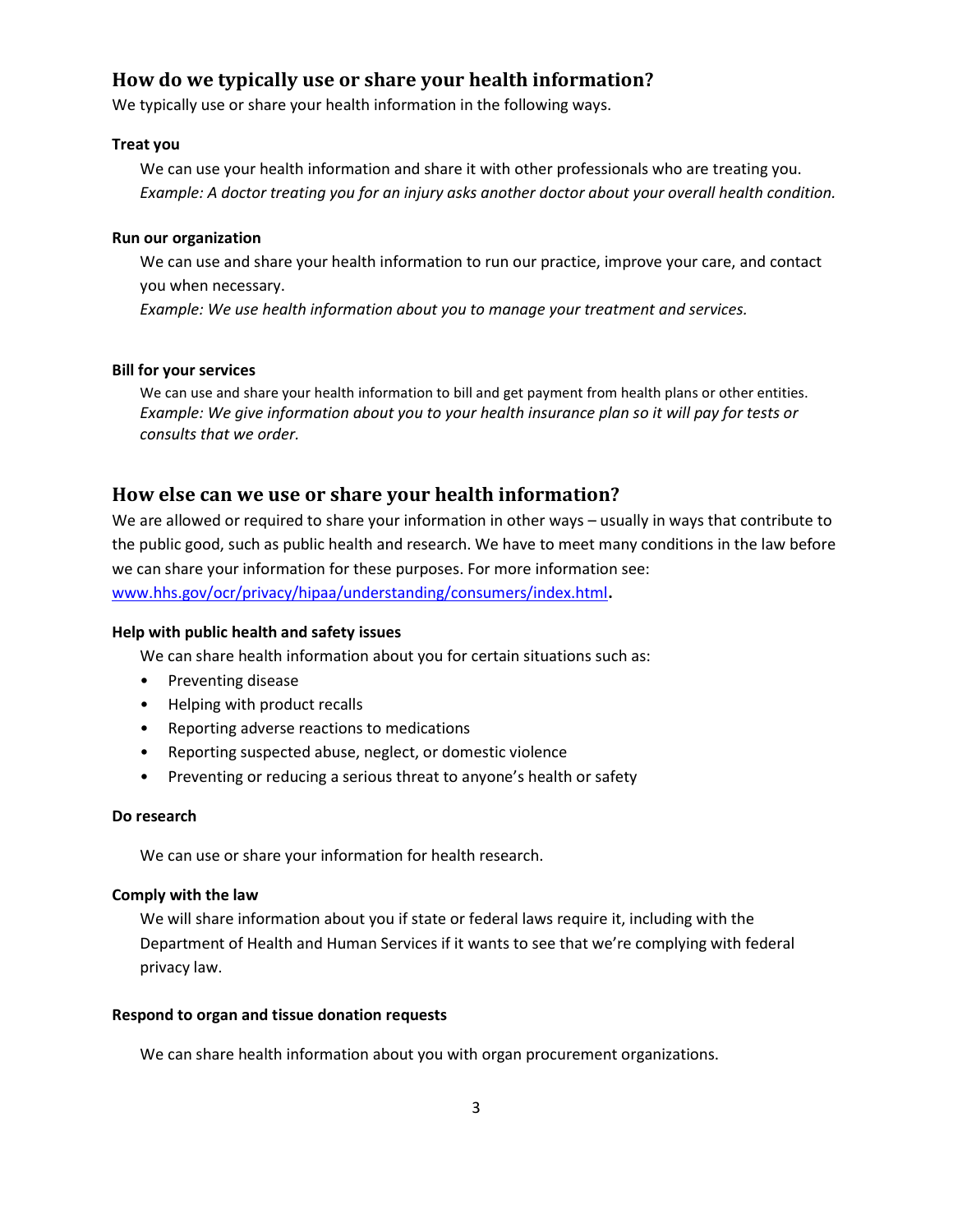### How do we typically use or share your health information?

We typically use or share your health information in the following ways.

#### Treat you

We can use your health information and share it with other professionals who are treating you. Example: A doctor treating you for an injury asks another doctor about your overall health condition.

#### Run our organization

We can use and share your health information to run our practice, improve your care, and contact you when necessary.

Example: We use health information about you to manage your treatment and services.

#### Bill for your services

We can use and share your health information to bill and get payment from health plans or other entities. Example: We give information about you to your health insurance plan so it will pay for tests or consults that we order.

### How else can we use or share your health information?

We are allowed or required to share your information in other ways – usually in ways that contribute to the public good, such as public health and research. We have to meet many conditions in the law before we can share your information for these purposes. For more information see: www.hhs.gov/ocr/privacy/hipaa/understanding/consumers/index.html.

#### Help with public health and safety issues

We can share health information about you for certain situations such as:

- Preventing disease
- Helping with product recalls
- Reporting adverse reactions to medications
- Reporting suspected abuse, neglect, or domestic violence
- Preventing or reducing a serious threat to anyone's health or safety

#### Do research

We can use or share your information for health research.

#### Comply with the law

We will share information about you if state or federal laws require it, including with the Department of Health and Human Services if it wants to see that we're complying with federal privacy law.

#### Respond to organ and tissue donation requests

We can share health information about you with organ procurement organizations.